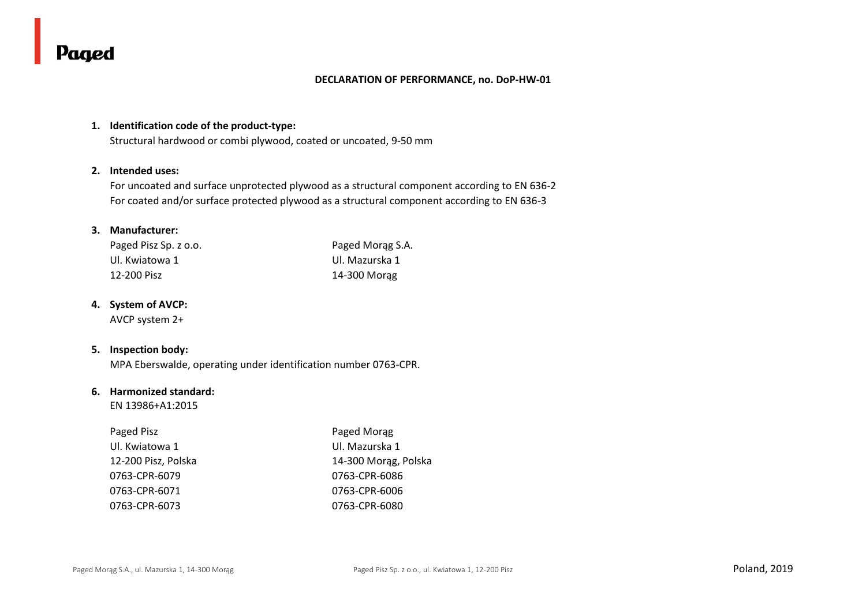#### **DECLARATION OF PERFORMANCE, no. DoP-HW-01**

### **1. Identification code of the product-type:**

Structural hardwood or combi plywood, coated or uncoated, 9-50 mm

#### **2. Intended uses:**

For uncoated and surface unprotected plywood as a structural component according to EN 636-2 For coated and/or surface protected plywood as a structural component according to EN 636-3

## **3. Manufacturer:**

| Paged Pisz Sp. z o.o. | Paged Morag S.A. |
|-----------------------|------------------|
| Ul. Kwiatowa 1        | Ul. Mazurska 1   |
| 12-200 Pisz           | 14-300 Morag     |

### **4. System of AVCP:**

AVCP system 2+

## **5. Inspection body:**

MPA Eberswalde, operating under identification number 0763-CPR.

### **6. Harmonized standard:**

EN 13986+A1:2015

| Paged Pisz          | Paged Morag          |
|---------------------|----------------------|
| Ul. Kwiatowa 1      | Ul. Mazurska 1       |
| 12-200 Pisz, Polska | 14-300 Morag, Polska |
| 0763-CPR-6079       | 0763-CPR-6086        |
| 0763-CPR-6071       | 0763-CPR-6006        |
| 0763-CPR-6073       | 0763-CPR-6080        |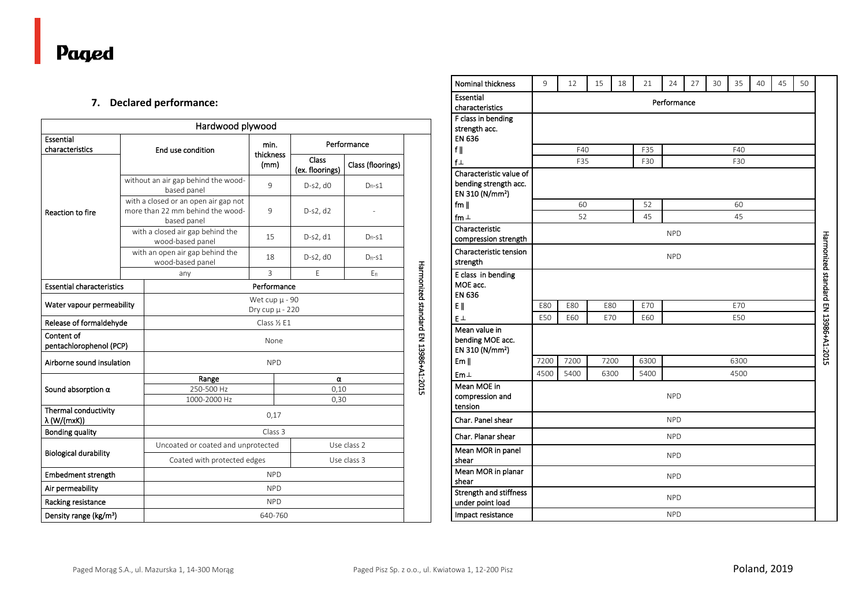## **7. Declared performance:**

|                                             |  | Hardwood plywood                                                                        |                   |                          |                   |                                      |  |  |  |
|---------------------------------------------|--|-----------------------------------------------------------------------------------------|-------------------|--------------------------|-------------------|--------------------------------------|--|--|--|
| Essential                                   |  |                                                                                         | min.              | Performance              |                   |                                      |  |  |  |
| characteristics                             |  | End use condition                                                                       | thickness<br>(mm) | Class<br>(ex. floorings) | Class (floorings) |                                      |  |  |  |
|                                             |  | without an air gap behind the wood-<br>based panel                                      | 9                 | D-s2, d0                 | $D_{fl}$ -s1      |                                      |  |  |  |
| <b>Reaction to fire</b>                     |  | with a closed or an open air gap not<br>more than 22 mm behind the wood-<br>based panel | 9                 | $D-S2, d2$               |                   |                                      |  |  |  |
|                                             |  | with a closed air gap behind the<br>wood-based panel                                    | 15                | $D-S2, d1$               | $D_{fl}$ -s1      |                                      |  |  |  |
|                                             |  | with an open air gap behind the<br>wood-based panel                                     | 18                | D-s2, d0                 | $D_{fl}$ -s1      |                                      |  |  |  |
|                                             |  | any                                                                                     | $\overline{3}$    | E                        | Efi               |                                      |  |  |  |
| <b>Essential characteristics</b>            |  |                                                                                         | Performance       |                          |                   |                                      |  |  |  |
| Water vapour permeability                   |  | Wet cup $\mu$ - 90<br>Dry cup µ - 220                                                   |                   |                          |                   |                                      |  |  |  |
| Release of formaldehyde                     |  | Class 1/2 E1                                                                            |                   |                          |                   |                                      |  |  |  |
| Content of<br>pentachlorophenol (PCP)       |  | None                                                                                    |                   |                          |                   |                                      |  |  |  |
| Airborne sound insulation                   |  |                                                                                         | <b>NPD</b>        |                          |                   | Harmonized standard EN 13986+A1:2015 |  |  |  |
|                                             |  | Range<br>α                                                                              |                   |                          |                   |                                      |  |  |  |
| Sound absorption $\alpha$                   |  | 250-500 Hz                                                                              |                   | 0,10                     |                   |                                      |  |  |  |
| Thermal conductivity<br>$\lambda$ (W/(mxK)) |  | 1000-2000 Hz                                                                            | 0,30<br>0,17      |                          |                   |                                      |  |  |  |
| <b>Bonding quality</b>                      |  | Class 3                                                                                 |                   |                          |                   |                                      |  |  |  |
| <b>Biological durability</b>                |  | Uncoated or coated and unprotected<br>Use class 2                                       |                   |                          |                   |                                      |  |  |  |
|                                             |  | Coated with protected edges<br>Use class 3                                              |                   |                          |                   |                                      |  |  |  |
| <b>Embedment strength</b>                   |  | <b>NPD</b>                                                                              |                   |                          |                   |                                      |  |  |  |
| Air permeability                            |  | <b>NPD</b>                                                                              |                   |                          |                   |                                      |  |  |  |
| Racking resistance                          |  | <b>NPD</b>                                                                              |                   |                          |                   |                                      |  |  |  |
| Density range (kg/m <sup>3</sup> )          |  | 640-760                                                                                 |                   |                          |                   |                                      |  |  |  |

| <b>Nominal thickness</b>                                                        | 9           | 12                | 15   | 18 | 21   | 24         | 27 | 30 | 35   | 40 | 45 | 50 |                                      |
|---------------------------------------------------------------------------------|-------------|-------------------|------|----|------|------------|----|----|------|----|----|----|--------------------------------------|
| Essential<br>characteristics                                                    | Performance |                   |      |    |      |            |    |    |      |    |    |    |                                      |
| F class in bending<br>strength acc.<br>EN 636                                   |             |                   |      |    |      |            |    |    |      |    |    |    |                                      |
| f                                                                               |             | F40<br>F35<br>F40 |      |    |      |            |    |    |      |    |    |    |                                      |
| $f \perp$                                                                       |             | F35               |      |    | F30  |            |    |    | F30  |    |    |    |                                      |
| Characteristic value of<br>bending strength acc.<br>EN 310 (N/mm <sup>2</sup> ) |             |                   |      |    |      |            |    |    |      |    |    |    |                                      |
| fm $\parallel$                                                                  |             | 60                |      |    | 52   |            |    |    | 60   |    |    |    |                                      |
| fm $\perp$                                                                      |             | 52                |      |    | 45   |            |    |    | 45   |    |    |    |                                      |
| Characteristic<br>compression strength                                          |             |                   |      |    |      | <b>NPD</b> |    |    |      |    |    |    |                                      |
| Characteristic tension<br>strength                                              |             |                   |      |    |      | <b>NPD</b> |    |    |      |    |    |    |                                      |
| E class in bending<br>MOE acc.<br><b>EN 636</b>                                 |             |                   |      |    |      |            |    |    |      |    |    |    | Harmonized standard EN 13986+A1:2015 |
| E                                                                               | E80         | E80               | E80  |    | E70  |            |    |    | E70  |    |    |    |                                      |
| EΙ                                                                              | E50         | E60               | E70  |    | E60  |            |    |    | E50  |    |    |    |                                      |
| Mean value in<br>bending MOE acc.<br>EN 310 (N/mm <sup>2</sup> )                |             |                   |      |    |      |            |    |    |      |    |    |    |                                      |
| Em                                                                              | 7200        | 7200              | 7200 |    | 6300 |            |    |    | 6300 |    |    |    |                                      |
| $Em\perp$                                                                       | 4500        | 5400              | 6300 |    | 5400 |            |    |    | 4500 |    |    |    |                                      |
| Mean MOE in<br>compression and<br>tension                                       |             |                   |      |    |      | <b>NPD</b> |    |    |      |    |    |    |                                      |
| Char. Panel shear                                                               |             |                   |      |    |      | <b>NPD</b> |    |    |      |    |    |    |                                      |
| Char. Planar shear                                                              |             |                   |      |    |      | <b>NPD</b> |    |    |      |    |    |    |                                      |
| Mean MOR in panel<br>shear                                                      |             |                   |      |    |      | <b>NPD</b> |    |    |      |    |    |    |                                      |
| Mean MOR in planar<br>shear                                                     |             |                   |      |    |      | <b>NPD</b> |    |    |      |    |    |    |                                      |
| <b>Strength and stiffness</b><br>under point load                               |             |                   |      |    |      | <b>NPD</b> |    |    |      |    |    |    |                                      |
| Impact resistance                                                               |             |                   |      |    |      | <b>NPD</b> |    |    |      |    |    |    |                                      |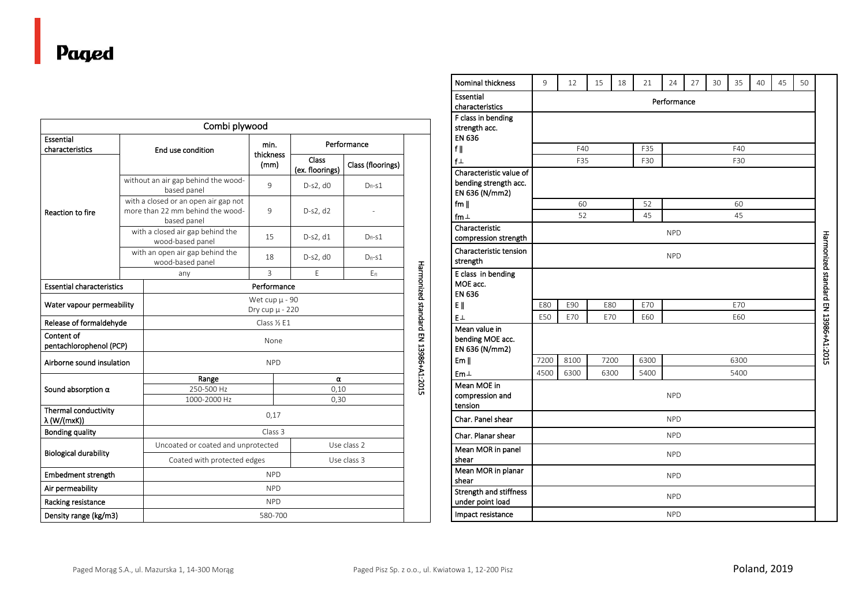|                                       | Combi plywood                                                                           |                                       |                 |                   |  |  |  |  |
|---------------------------------------|-----------------------------------------------------------------------------------------|---------------------------------------|-----------------|-------------------|--|--|--|--|
| Essential                             |                                                                                         | min.                                  | Performance     |                   |  |  |  |  |
| characteristics                       | End use condition                                                                       | thickness                             | Class           |                   |  |  |  |  |
|                                       |                                                                                         | (mm)                                  | (ex. floorings) | Class (floorings) |  |  |  |  |
|                                       | without an air gap behind the wood-<br>based panel                                      | 9                                     | D-s2, d0        | $D_{fl}$ -s1      |  |  |  |  |
| Reaction to fire                      | with a closed or an open air gap not<br>more than 22 mm behind the wood-<br>based panel | 9                                     | D-s2, d2        |                   |  |  |  |  |
|                                       | with a closed air gap behind the<br>wood-based panel                                    | 15                                    | $D-S2, d1$      | $D_{fl}$ -s1      |  |  |  |  |
|                                       | with an open air gap behind the<br>wood-based panel                                     | 18                                    | D-s2, d0        | $D_{fl}$ -s1      |  |  |  |  |
|                                       | any                                                                                     | $\overline{3}$<br>F                   |                 |                   |  |  |  |  |
| <b>Essential characteristics</b>      | Performance                                                                             |                                       |                 |                   |  |  |  |  |
| Water vapour permeability             |                                                                                         | Wet cup $\mu$ - 90<br>Dry cup µ - 220 |                 |                   |  |  |  |  |
| Release of formaldehyde               | Class 1/2 E1                                                                            |                                       |                 |                   |  |  |  |  |
| Content of<br>pentachlorophenol (PCP) | None                                                                                    |                                       |                 |                   |  |  |  |  |
| Airborne sound insulation             |                                                                                         | <b>NPD</b>                            |                 |                   |  |  |  |  |
|                                       | Range                                                                                   |                                       | α               |                   |  |  |  |  |
| Sound absorption $\alpha$             | 250-500 Hz                                                                              | 0,10                                  |                 |                   |  |  |  |  |
| Thermal conductivity                  | 1000-2000 Hz<br>0,30                                                                    |                                       |                 |                   |  |  |  |  |
| λ (W/(mxK))                           |                                                                                         | 0,17                                  |                 |                   |  |  |  |  |
| <b>Bonding quality</b>                |                                                                                         | Class <sub>3</sub>                    |                 |                   |  |  |  |  |
|                                       | Uncoated or coated and unprotected<br>Use class 2                                       |                                       |                 |                   |  |  |  |  |
| <b>Biological durability</b>          | Use class 3<br>Coated with protected edges                                              |                                       |                 |                   |  |  |  |  |
| <b>Embedment strength</b>             | <b>NPD</b>                                                                              |                                       |                 |                   |  |  |  |  |
| Air permeability                      | <b>NPD</b>                                                                              |                                       |                 |                   |  |  |  |  |
| Racking resistance                    | <b>NPD</b>                                                                              |                                       |                 |                   |  |  |  |  |
| Density range (kg/m3)                 | 580-700                                                                                 |                                       |                 |                   |  |  |  |  |

| Nominal thickness                                                  | 9           | 12                | 15   | 18 | 21   | 24         | 27 | 30 | 35   | 40 | 45 | 50 |                                      |
|--------------------------------------------------------------------|-------------|-------------------|------|----|------|------------|----|----|------|----|----|----|--------------------------------------|
| Essential<br>characteristics                                       | Performance |                   |      |    |      |            |    |    |      |    |    |    |                                      |
| F class in bending<br>strength acc.<br><b>EN 636</b>               |             |                   |      |    |      |            |    |    |      |    |    |    |                                      |
| fl                                                                 |             | F40<br>F35<br>F40 |      |    |      |            |    |    |      |    |    |    |                                      |
| $f \perp$                                                          |             | F35               |      |    | F30  |            |    |    | F30  |    |    |    |                                      |
| Characteristic value of<br>bending strength acc.<br>EN 636 (N/mm2) |             |                   |      |    |      |            |    |    |      |    |    |    |                                      |
| fm $\parallel$                                                     |             | 60                |      |    | 52   |            |    |    | 60   |    |    |    |                                      |
| fm $\perp$                                                         |             | 52                |      |    | 45   |            |    |    | 45   |    |    |    |                                      |
| Characteristic<br>compression strength                             |             |                   |      |    |      | <b>NPD</b> |    |    |      |    |    |    |                                      |
| Characteristic tension<br>strength                                 |             | <b>NPD</b>        |      |    |      |            |    |    |      |    |    |    |                                      |
| E class in bending<br>MOE acc.<br><b>EN 636</b>                    |             |                   |      |    |      |            |    |    |      |    |    |    | Harmonized standard EN 13986+A1:2015 |
| E                                                                  | E80         | E90               | E80  |    | E70  |            |    |    | E70  |    |    |    |                                      |
| EΞ                                                                 | E50         | E70               | E70  |    | E60  |            |    |    | E60  |    |    |    |                                      |
| Mean value in<br>bending MOE acc.<br>EN 636 (N/mm2)                |             |                   |      |    |      |            |    |    |      |    |    |    |                                      |
| Em                                                                 | 7200        | 8100              | 7200 |    | 6300 |            |    |    | 6300 |    |    |    |                                      |
| $Em\perp$                                                          | 4500        | 6300              | 6300 |    | 5400 |            |    |    | 5400 |    |    |    |                                      |
| Mean MOE in<br>compression and<br>tension                          |             |                   |      |    |      | <b>NPD</b> |    |    |      |    |    |    |                                      |
| Char. Panel shear                                                  |             |                   |      |    |      | <b>NPD</b> |    |    |      |    |    |    |                                      |
| Char. Planar shear                                                 |             |                   |      |    |      | <b>NPD</b> |    |    |      |    |    |    |                                      |
| Mean MOR in panel<br>shear                                         | <b>NPD</b>  |                   |      |    |      |            |    |    |      |    |    |    |                                      |
| Mean MOR in planar<br>shear                                        |             |                   |      |    |      | <b>NPD</b> |    |    |      |    |    |    |                                      |
| Strength and stiffness<br>under point load                         |             |                   |      |    |      | <b>NPD</b> |    |    |      |    |    |    |                                      |
| Impact resistance                                                  |             |                   |      |    |      | <b>NPD</b> |    |    |      |    |    |    |                                      |